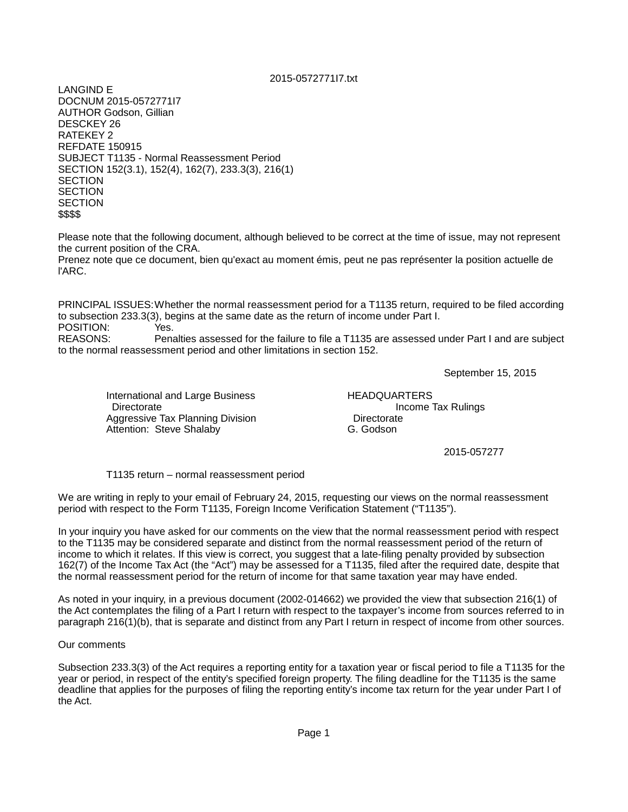## 2015-0572771I7.txt

LANGIND E DOCNUM 2015-0572771I7 AUTHOR Godson, Gillian DESCKEY 26 RATEKEY 2 REFDATE 150915 SUBJECT T1135 - Normal Reassessment Period SECTION 152(3.1), 152(4), 162(7), 233.3(3), 216(1) **SECTION SECTION SECTION** \$\$\$\$

Please note that the following document, although believed to be correct at the time of issue, may not represent the current position of the CRA.

Prenez note que ce document, bien qu'exact au moment émis, peut ne pas représenter la position actuelle de l'ARC.

PRINCIPAL ISSUES:Whether the normal reassessment period for a T1135 return, required to be filed according to subsection 233.3(3), begins at the same date as the return of income under Part I. POSITION: Yes.<br>REASONS: Pena

Penalties assessed for the failure to file a T1135 are assessed under Part I and are subject to the normal reassessment period and other limitations in section 152.

September 15, 2015

International and Large Business HEADQUARTERS Directorate Income Tax Rulings<br>
Aggressive Tax Planning Division **Income Tax Rulings** Aggressive Tax Planning Division **Concretive Constructs** Directorate<br>Attention: Steve Shalaby Attention C. Godson Attention: Steve Shalaby

2015-057277

T1135 return – normal reassessment period

We are writing in reply to your email of February 24, 2015, requesting our views on the normal reassessment period with respect to the Form T1135, Foreign Income Verification Statement ("T1135").

In your inquiry you have asked for our comments on the view that the normal reassessment period with respect to the T1135 may be considered separate and distinct from the normal reassessment period of the return of income to which it relates. If this view is correct, you suggest that a late-filing penalty provided by subsection 162(7) of the Income Tax Act (the "Act") may be assessed for a T1135, filed after the required date, despite that the normal reassessment period for the return of income for that same taxation year may have ended.

As noted in your inquiry, in a previous document (2002-014662) we provided the view that subsection 216(1) of the Act contemplates the filing of a Part I return with respect to the taxpayer's income from sources referred to in paragraph 216(1)(b), that is separate and distinct from any Part I return in respect of income from other sources.

Our comments

Subsection 233.3(3) of the Act requires a reporting entity for a taxation year or fiscal period to file a T1135 for the year or period, in respect of the entity's specified foreign property. The filing deadline for the T1135 is the same deadline that applies for the purposes of filing the reporting entity's income tax return for the year under Part I of the Act.